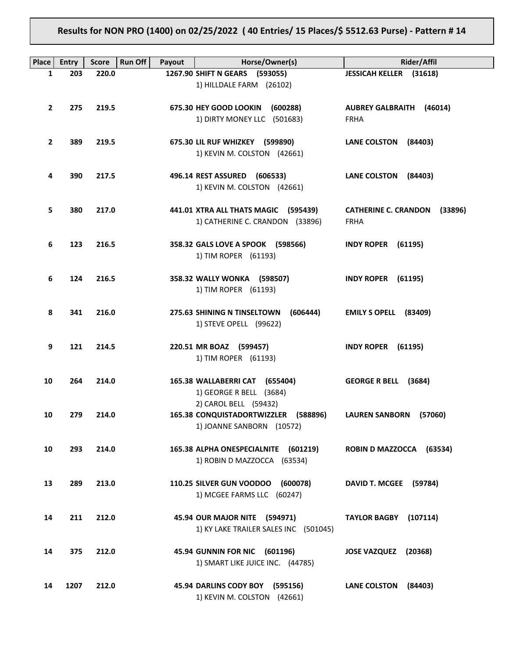**Results for NON PRO (1400) on 02/25/2022 ( 40 Entries/ 15 Places/\$ 5512.63 Purse) - Pattern # 14**

| Place        | <b>Entry</b> | Run Off<br><b>Score</b> | Payout | Horse/Owner(s)                                                                     | Rider/Affil                                           |
|--------------|--------------|-------------------------|--------|------------------------------------------------------------------------------------|-------------------------------------------------------|
| 1            | 203          | 220.0                   |        | 1267.90 SHIFT N GEARS (593055)                                                     | JESSICAH KELLER (31618)                               |
|              |              |                         |        | 1) HILLDALE FARM (26102)                                                           |                                                       |
| $\mathbf{2}$ | 275          | 219.5                   |        | 675.30 HEY GOOD LOOKIN<br>(600288)<br>1) DIRTY MONEY LLC (501683)                  | <b>AUBREY GALBRAITH (46014)</b><br><b>FRHA</b>        |
| $\mathbf{2}$ | 389          | 219.5                   |        | 675.30 LIL RUF WHIZKEY (599890)<br>1) KEVIN M. COLSTON (42661)                     | <b>LANE COLSTON</b><br>(84403)                        |
| 4            | 390          | 217.5                   |        | 496.14 REST ASSURED (606533)<br>1) KEVIN M. COLSTON (42661)                        | <b>LANE COLSTON</b><br>(84403)                        |
| 5            | 380          | 217.0                   |        | 441.01 XTRA ALL THATS MAGIC (595439)<br>1) CATHERINE C. CRANDON (33896)            | <b>CATHERINE C. CRANDON</b><br>(33896)<br><b>FRHA</b> |
| 6            | 123          | 216.5                   |        | 358.32 GALS LOVE A SPOOK (598566)<br>1) TIM ROPER (61193)                          | <b>INDY ROPER (61195)</b>                             |
| 6            | 124          | 216.5                   |        | 358.32 WALLY WONKA (598507)<br>1) TIM ROPER (61193)                                | <b>INDY ROPER (61195)</b>                             |
| 8            | 341          | 216.0                   |        | 275.63 SHINING N TINSELTOWN<br>(606444)<br>1) STEVE OPELL (99622)                  | EMILY S OPELL (83409)                                 |
| 9            | 121          | 214.5                   |        | 220.51 MR BOAZ (599457)<br>1) TIM ROPER (61193)                                    | <b>INDY ROPER (61195)</b>                             |
| 10           | 264          | 214.0                   |        | 165.38 WALLABERRI CAT (655404)<br>1) GEORGE R BELL (3684)<br>2) CAROL BELL (59432) | <b>GEORGE R BELL</b><br>(3684)                        |
| 10           | 279          | 214.0                   |        | 165.38 CONQUISTADORTWIZZLER (588896)<br>1) JOANNE SANBORN (10572)                  | <b>LAUREN SANBORN</b><br>(57060)                      |
| 10           | 293          | 214.0                   |        | 165.38 ALPHA ONESPECIALNITE (601219)<br>1) ROBIN D MAZZOCCA (63534)                | ROBIN D MAZZOCCA (63534)                              |
| 13           | 289          | 213.0                   |        | 110.25 SILVER GUN VOODOO<br>(600078)<br>1) MCGEE FARMS LLC (60247)                 | DAVID T. MCGEE (59784)                                |
| 14           | 211          | 212.0                   |        | 45.94 OUR MAJOR NITE (594971)<br>1) KY LAKE TRAILER SALES INC (501045)             | <b>TAYLOR BAGBY</b><br>(107114)                       |
| 14           | 375          | 212.0                   |        | <b>45.94 GUNNIN FOR NIC</b><br>(601196)<br>1) SMART LIKE JUICE INC. (44785)        | <b>JOSE VAZQUEZ</b><br>(20368)                        |
| 14           | 1207         | 212.0                   |        | 45.94 DARLINS CODY BOY<br>(595156)<br>1) KEVIN M. COLSTON (42661)                  | <b>LANE COLSTON</b><br>(84403)                        |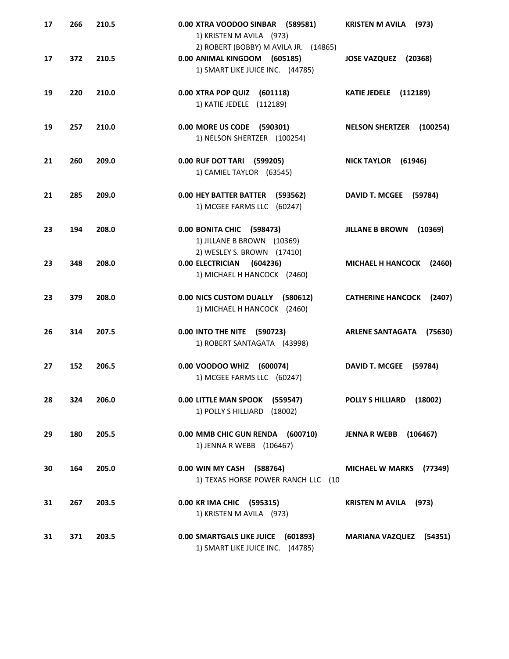| 17 | 266 | 210.5 | 0.00 XTRA VOODOO SINBAR (589581)<br>1) KRISTEN M AVILA (973)                                              | <b>KRISTEN M AVILA</b><br>(973)    |
|----|-----|-------|-----------------------------------------------------------------------------------------------------------|------------------------------------|
| 17 | 372 | 210.5 | 2) ROBERT (BOBBY) M AVILA JR. (14865)<br>0.00 ANIMAL KINGDOM (605185)<br>1) SMART LIKE JUICE INC. (44785) | (20368)<br><b>JOSE VAZQUEZ</b>     |
| 19 | 220 | 210.0 | 0.00 XTRA POP QUIZ (601118)<br>1) KATIE JEDELE (112189)                                                   | KATIE JEDELE (112189)              |
| 19 | 257 | 210.0 | 0.00 MORE US CODE (590301)<br>1) NELSON SHERTZER (100254)                                                 | <b>NELSON SHERTZER</b><br>(100254) |
| 21 | 260 | 209.0 | 0.00 RUF DOT TARI<br>(599205)<br>1) CAMIEL TAYLOR (63545)                                                 | <b>NICK TAYLOR</b><br>(61946)      |
| 21 | 285 | 209.0 | 0.00 HEY BATTER BATTER (593562)<br>1) MCGEE FARMS LLC (60247)                                             | <b>DAVID T. MCGEE</b><br>(59784)   |
| 23 | 194 | 208.0 | 0.00 BONITA CHIC (598473)<br>1) JILLANE B BROWN (10369)                                                   | <b>JILLANE B BROWN</b><br>(10369)  |
| 23 | 348 | 208.0 | 2) WESLEY S. BROWN (17410)<br>0.00 ELECTRICIAN (604236)<br>1) MICHAEL H HANCOCK (2460)                    | <b>MICHAEL H HANCOCK</b><br>(2460) |
| 23 | 379 | 208.0 | 0.00 NICS CUSTOM DUALLY (580612)<br>1) MICHAEL H HANCOCK (2460)                                           | <b>CATHERINE HANCOCK</b><br>(2407) |
| 26 | 314 | 207.5 | 0.00 INTO THE NITE (590723)<br>1) ROBERT SANTAGATA (43998)                                                | <b>ARLENE SANTAGATA</b><br>(75630) |
| 27 | 152 | 206.5 | 0.00 VOODOO WHIZ<br>(600074)<br>1) MCGEE FARMS LLC (60247)                                                | <b>DAVID T. MCGEE</b><br>(59784)   |
| 28 | 324 | 206.0 | 0.00 LITTLE MAN SPOOK (559547)<br>1) POLLY S HILLIARD (18002)                                             | POLLY S HILLIARD<br>(18002)        |
| 29 | 180 | 205.5 | 0.00 MMB CHIC GUN RENDA (600710)<br>1) JENNA R WEBB (106467)                                              | <b>JENNA R WEBB</b> (106467)       |
| 30 | 164 | 205.0 | 0.00 WIN MY CASH (588764)<br>1) TEXAS HORSE POWER RANCH LLC (10                                           | MICHAEL W MARKS (77349)            |
| 31 | 267 | 203.5 | 0.00 KR IMA CHIC (595315)<br>1) KRISTEN M AVILA (973)                                                     | <b>KRISTEN M AVILA</b> (973)       |
| 31 | 371 | 203.5 | 0.00 SMARTGALS LIKE JUICE (601893)<br>1) SMART LIKE JUICE INC. (44785)                                    | <b>MARIANA VAZQUEZ</b> (54351)     |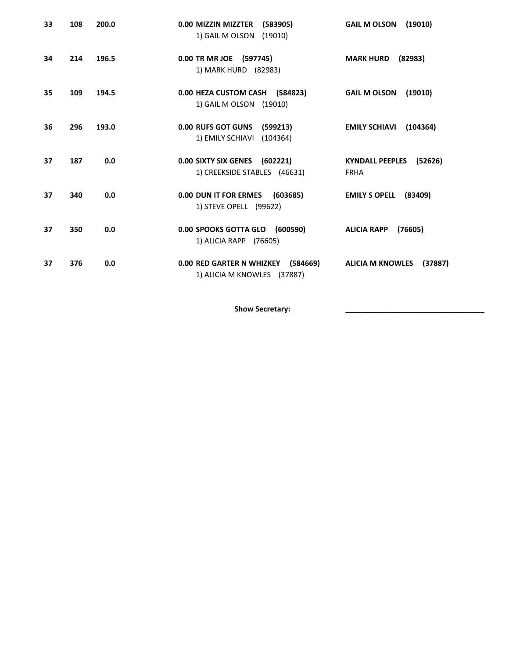| 33 | 108 | 200.0 | 0.00 MIZZIN MIZZTER<br>(583905)<br>1) GAIL M OLSON (19010)        | <b>GAIL M OLSON</b><br>(19010)                   |
|----|-----|-------|-------------------------------------------------------------------|--------------------------------------------------|
| 34 | 214 | 196.5 | 0.00 TR MR JOE (597745)<br>1) MARK HURD (82983)                   | <b>MARK HURD</b><br>(82983)                      |
| 35 | 109 | 194.5 | 0.00 HEZA CUSTOM CASH (584823)<br>1) GAIL M OLSON (19010)         | <b>GAIL M OLSON</b><br>(19010)                   |
| 36 | 296 | 193.0 | 0.00 RUFS GOT GUNS (599213)<br>1) EMILY SCHIAVI (104364)          | <b>EMILY SCHIAVI</b><br>(104364)                 |
| 37 | 187 | 0.0   | 0.00 SIXTY SIX GENES (602221)<br>1) CREEKSIDE STABLES (46631)     | <b>KYNDALL PEEPLES</b><br>(52626)<br><b>FRHA</b> |
| 37 | 340 | 0.0   | 0.00 DUN IT FOR ERMES<br>(603685)<br>1) STEVE OPELL (99622)       | <b>EMILY S OPELL</b><br>(83409)                  |
| 37 | 350 | 0.0   | 0.00 SPOOKS GOTTA GLO (600590)<br>1) ALICIA RAPP (76605)          | <b>ALICIA RAPP</b><br>(76605)                    |
| 37 | 376 | 0.0   | 0.00 RED GARTER N WHIZKEY (584669)<br>1) ALICIA M KNOWLES (37887) | <b>ALICIA M KNOWLES</b><br>(37887)               |

Show Secretary: